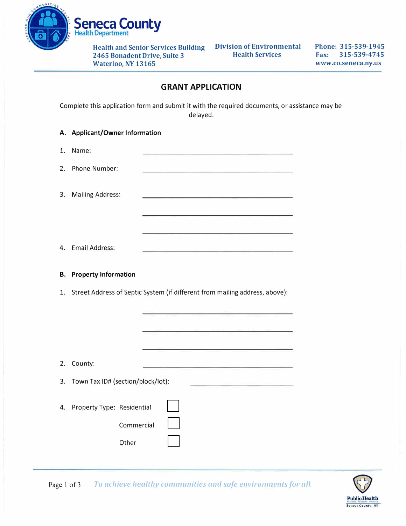

**Health and Senior Services Building Division of Environmental 2465 Bonadent Drive, Suite 3 Waterloo, NY 13165** 

**Phone: 315-539-1945 Fax: 315-539-4745 www.co.seneca.ny.us** 

## **GRANT APPLICATION**

Complete this application form and submit it with the required documents, or assistance may be delayed.

| А. | <b>Applicant/Owner Information</b> |                                                                                                                                                                                                                                      |  |
|----|------------------------------------|--------------------------------------------------------------------------------------------------------------------------------------------------------------------------------------------------------------------------------------|--|
| 1. | Name:                              |                                                                                                                                                                                                                                      |  |
| 2. | Phone Number:                      | the control of the control of the control of the control of the control of the control of                                                                                                                                            |  |
| 3. | <b>Mailing Address:</b>            | the control of the control of the control of the control of the control of the control of the control of the control of the control of the control of the control of the control of the control of the control of the control        |  |
|    |                                    |                                                                                                                                                                                                                                      |  |
| 4. | <b>Email Address:</b>              | <u> San Angliciano de San Angliciano de San Angliciano de San Angliciano de San Angliciano de San Angliciano de San Angliciano de San Angliciano de San Angliciano de San Angliciano de San Angliciano de San Angliciano de San </u> |  |
|    |                                    |                                                                                                                                                                                                                                      |  |
| В. | <b>Property Information</b>        |                                                                                                                                                                                                                                      |  |
| 1. |                                    | Street Address of Septic System (if different from mailing address, above):                                                                                                                                                          |  |
|    |                                    | <u> 1989 - Roman Barbara (m. 1989)</u>                                                                                                                                                                                               |  |
|    |                                    |                                                                                                                                                                                                                                      |  |
|    |                                    |                                                                                                                                                                                                                                      |  |
| 2. | County:                            | the contract of the contract of the contract of the contract of the contract of the contract of the contract of                                                                                                                      |  |
| 3. | Town Tax ID# (section/block/lot):  | and the company of the company of the company of                                                                                                                                                                                     |  |

Page 1 of 3 To achieve healthy communities and safe environments for all.

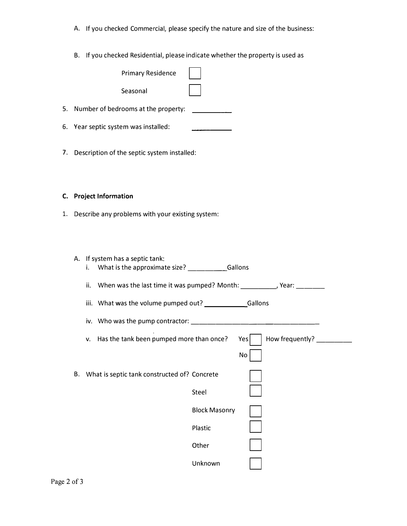- A. If you checked Commercial, please specify the nature and size of the business:
- B. If you checked Residential, please indicate whether the property is used as

| <b>Primary Residence</b>                                                                  |  |  |
|-------------------------------------------------------------------------------------------|--|--|
| Seasonal                                                                                  |  |  |
| 5. Number of bedrooms at the property:                                                    |  |  |
| 6. Year septic system was installed:                                                      |  |  |
| 7. Description of the septic system installed:                                            |  |  |
| C. Project Information                                                                    |  |  |
| 1. Describe any problems with your existing system:                                       |  |  |
|                                                                                           |  |  |
| A. If system has a septic tank:<br>What is the approximate size? ___________Gallons<br>i. |  |  |
| When was the last time it was pumped? Month: ___________, Year: ________<br>ii.           |  |  |
|                                                                                           |  |  |
|                                                                                           |  |  |
| Has the tank been pumped more than once?<br>How frequently? _______<br>Yes<br>v.          |  |  |
| $\operatorname{\mathsf{No}}$                                                              |  |  |
| What is septic tank constructed of? Concrete<br>B.                                        |  |  |
| Steel                                                                                     |  |  |
| <b>Block Masonry</b>                                                                      |  |  |
| Plastic                                                                                   |  |  |
| Other                                                                                     |  |  |
| Unknown                                                                                   |  |  |